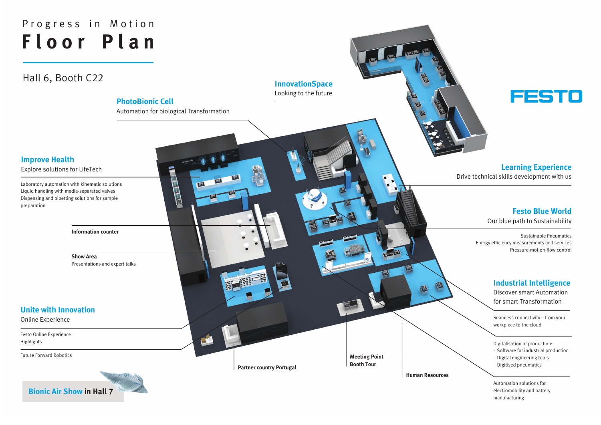Seamless connectivity – from your workpiece to the cloud

Laboratory automation with kinematic solutions Liquid handling with media-separated valves Dispensing and pipetting solutions for sample preparation

**Meeting Point**

**Booth Tour Partner country Portugal**

**Human Resources**

**Show Area**  Presentations and expert talks

**Information counter**

Festo Online Experience Highlights

Future Forward Robotics

Automation solutions for electromobility and battery manufacturing

Digitalisation of production:

# **Floor Plan** Progress in Motion

- Software for industrial production
- Digital engineering tools
- Digitised pneumatics

Sustainable Pneumatics Energy efficiency measurements and services Pressure-motion-flow control

## **PhotoBionic Cell**

Automation for biological Transformation

## **Improve Health**

Explore solutions for LifeTech

## **Unite with Innovation**

Online Experience

## **InnovationSpace**

Looking to the future

## **Festo Blue World**

Our blue path to Sustainability

## **Industrial Intelligence**

Discover smart Automation for smart Transformation

## **Learning Experience**

Drive technical skills development with us

Hall 6, Booth C22